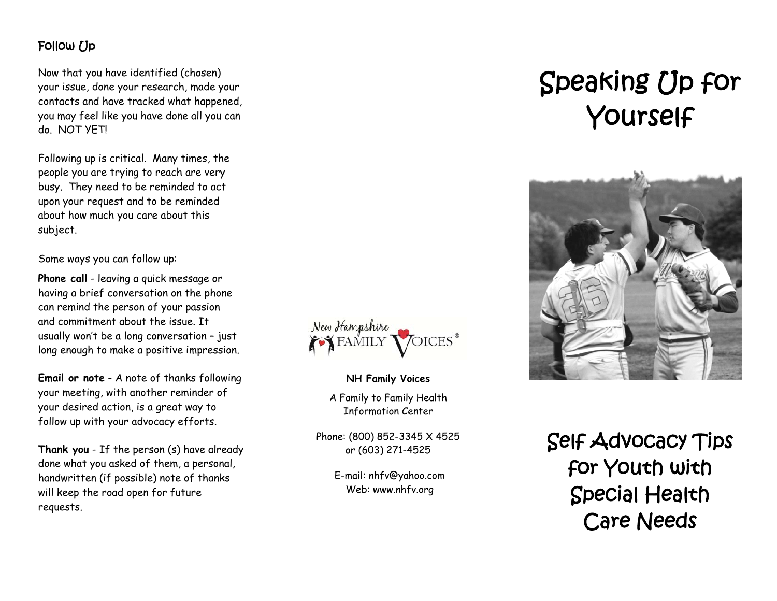### Follow  $\overline{U}$

Now that you have identified (chosen) your issue, done your research, made your contacts and have tracked what happened, you may feel like you have done all you can do. NOT YET!

Following up is critical. Many times, the people you are trying to reach are very busy. They need to be reminded to act upon your request and to be reminded about how much you care about this subject.

Some ways you can follow up:

**Phone call** - leaving a quick message or having a brief conversation on the phone can remind the person of your passion and commitment about the issue. It usually won't be a long conversation – just long enough to make a positive impression.

**Email or note** - A note of thanks following your meeting, with another reminder of your desired action, is a great way to follow up with your advocacy efforts.

**Thank you** - If the person (s) have already done what you asked of them, a personal, handwritten (if possible) note of thanks will keep the road open for future requests.



**NH Family Voices**  A Family to Family Health Information Center

Phone: (800) 852-3345 X 4525 or (603) 271-4525

> E-mail: nhfv@yahoo.com Web: www.nhfv.org

# Speaking Up for Yourself



Self Advocacy Tips for Youth with Special Health Care Needs